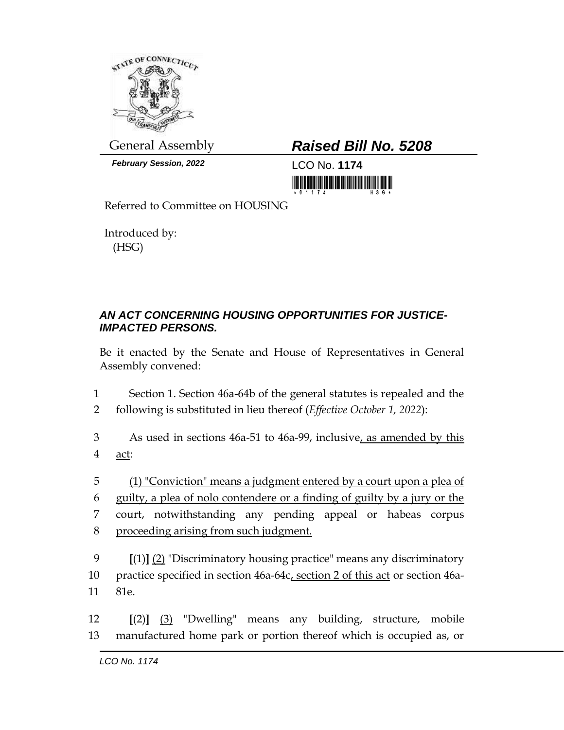

*February Session, 2022* LCO No. **1174**

## General Assembly *Raised Bill No. 5208*

<u> III din masarakat kalendari dan masarakat dan masarakat dan masarakat dan masarakat dan masarakat dan masarak</u>

Referred to Committee on HOUSING

Introduced by: (HSG)

## *AN ACT CONCERNING HOUSING OPPORTUNITIES FOR JUSTICE-IMPACTED PERSONS.*

Be it enacted by the Senate and House of Representatives in General Assembly convened:

- 1 Section 1. Section 46a-64b of the general statutes is repealed and the 2 following is substituted in lieu thereof (*Effective October 1, 2022*):
- 3 As used in sections 46a-51 to 46a-99, inclusive, as amended by this 4 act:
- 5 (1) "Conviction" means a judgment entered by a court upon a plea of 6 guilty, a plea of nolo contendere or a finding of guilty by a jury or the 7 court, notwithstanding any pending appeal or habeas corpus 8 proceeding arising from such judgment.
- 9 **[**(1)**]** (2) "Discriminatory housing practice" means any discriminatory 10 practice specified in section 46a-64c, section 2 of this act or section 46a-11 81e.
- 12 **[**(2)**]** (3) "Dwelling" means any building, structure, mobile 13 manufactured home park or portion thereof which is occupied as, or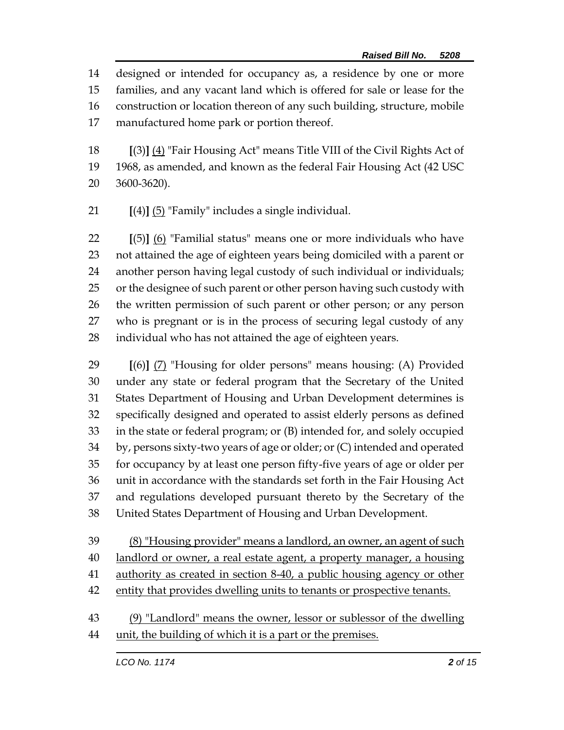designed or intended for occupancy as, a residence by one or more families, and any vacant land which is offered for sale or lease for the construction or location thereon of any such building, structure, mobile manufactured home park or portion thereof.

 **[**(3)**]** (4) "Fair Housing Act" means Title VIII of the Civil Rights Act of 1968, as amended, and known as the federal Fair Housing Act (42 USC 3600-3620).

**[**(4)**]** (5) "Family" includes a single individual.

 **[**(5)**]** (6) "Familial status" means one or more individuals who have not attained the age of eighteen years being domiciled with a parent or another person having legal custody of such individual or individuals; or the designee of such parent or other person having such custody with the written permission of such parent or other person; or any person who is pregnant or is in the process of securing legal custody of any individual who has not attained the age of eighteen years.

 **[**(6)**]** (7) "Housing for older persons" means housing: (A) Provided under any state or federal program that the Secretary of the United States Department of Housing and Urban Development determines is specifically designed and operated to assist elderly persons as defined in the state or federal program; or (B) intended for, and solely occupied by, persons sixty-two years of age or older; or (C) intended and operated for occupancy by at least one person fifty-five years of age or older per unit in accordance with the standards set forth in the Fair Housing Act and regulations developed pursuant thereto by the Secretary of the United States Department of Housing and Urban Development.

 (8) "Housing provider" means a landlord, an owner, an agent of such landlord or owner, a real estate agent, a property manager, a housing authority as created in section 8-40, a public housing agency or other 42 entity that provides dwelling units to tenants or prospective tenants.

 (9) "Landlord" means the owner, lessor or sublessor of the dwelling unit, the building of which it is a part or the premises.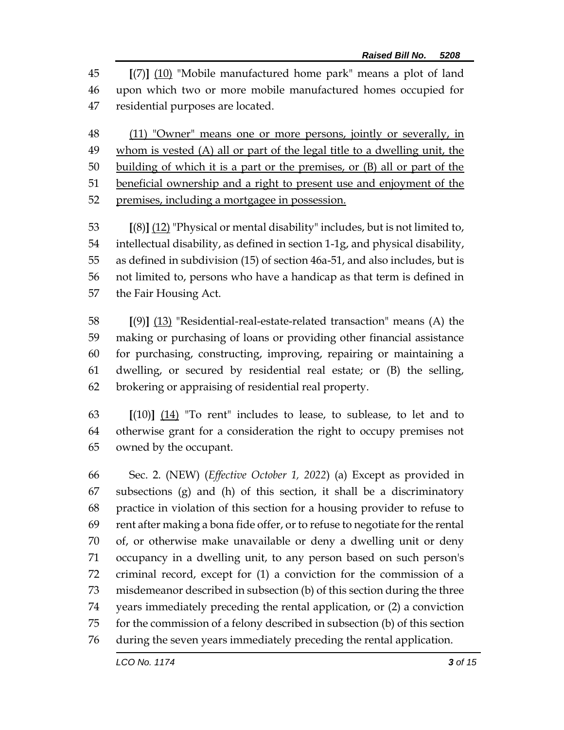**[**(7)**]** (10) "Mobile manufactured home park" means a plot of land upon which two or more mobile manufactured homes occupied for residential purposes are located.

48 (11) "Owner" means one or more persons, jointly or severally, in whom is vested (A) all or part of the legal title to a dwelling unit, the building of which it is a part or the premises, or (B) all or part of the beneficial ownership and a right to present use and enjoyment of the 52 premises, including a mortgagee in possession.

 **[**(8)**]** (12) "Physical or mental disability" includes, but is not limited to, intellectual disability, as defined in section 1-1g, and physical disability, as defined in subdivision (15) of section 46a-51, and also includes, but is not limited to, persons who have a handicap as that term is defined in the Fair Housing Act.

 **[**(9)**]** (13) "Residential-real-estate-related transaction" means (A) the making or purchasing of loans or providing other financial assistance for purchasing, constructing, improving, repairing or maintaining a dwelling, or secured by residential real estate; or (B) the selling, brokering or appraising of residential real property.

 **[**(10)**]** (14) "To rent" includes to lease, to sublease, to let and to otherwise grant for a consideration the right to occupy premises not owned by the occupant.

 Sec. 2. (NEW) (*Effective October 1, 2022*) (a) Except as provided in subsections (g) and (h) of this section, it shall be a discriminatory practice in violation of this section for a housing provider to refuse to rent after making a bona fide offer, or to refuse to negotiate for the rental of, or otherwise make unavailable or deny a dwelling unit or deny occupancy in a dwelling unit, to any person based on such person's criminal record, except for (1) a conviction for the commission of a misdemeanor described in subsection (b) of this section during the three years immediately preceding the rental application, or (2) a conviction for the commission of a felony described in subsection (b) of this section during the seven years immediately preceding the rental application.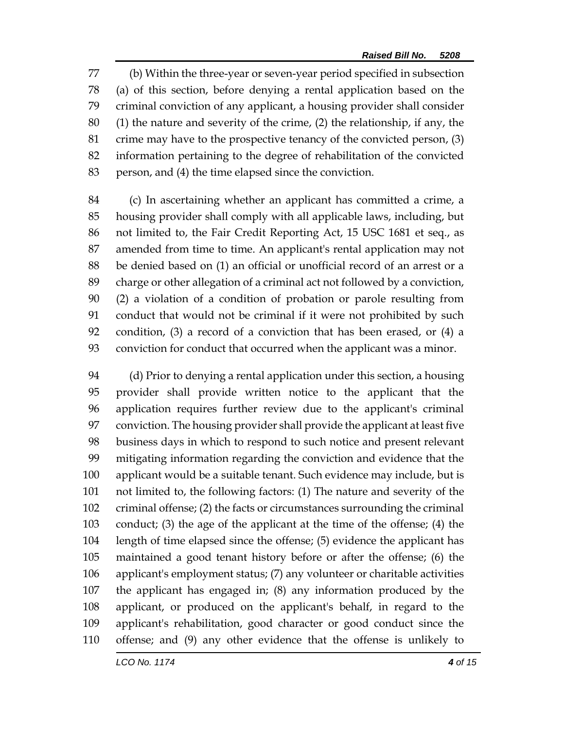(b) Within the three-year or seven-year period specified in subsection (a) of this section, before denying a rental application based on the criminal conviction of any applicant, a housing provider shall consider (1) the nature and severity of the crime, (2) the relationship, if any, the crime may have to the prospective tenancy of the convicted person, (3) information pertaining to the degree of rehabilitation of the convicted person, and (4) the time elapsed since the conviction.

 (c) In ascertaining whether an applicant has committed a crime, a housing provider shall comply with all applicable laws, including, but not limited to, the Fair Credit Reporting Act, 15 USC 1681 et seq., as amended from time to time. An applicant's rental application may not be denied based on (1) an official or unofficial record of an arrest or a charge or other allegation of a criminal act not followed by a conviction, (2) a violation of a condition of probation or parole resulting from conduct that would not be criminal if it were not prohibited by such condition, (3) a record of a conviction that has been erased, or (4) a conviction for conduct that occurred when the applicant was a minor.

 (d) Prior to denying a rental application under this section, a housing provider shall provide written notice to the applicant that the application requires further review due to the applicant's criminal conviction. The housing provider shall provide the applicant at least five business days in which to respond to such notice and present relevant mitigating information regarding the conviction and evidence that the applicant would be a suitable tenant. Such evidence may include, but is not limited to, the following factors: (1) The nature and severity of the criminal offense; (2) the facts or circumstances surrounding the criminal conduct; (3) the age of the applicant at the time of the offense; (4) the length of time elapsed since the offense; (5) evidence the applicant has maintained a good tenant history before or after the offense; (6) the applicant's employment status; (7) any volunteer or charitable activities the applicant has engaged in; (8) any information produced by the applicant, or produced on the applicant's behalf, in regard to the applicant's rehabilitation, good character or good conduct since the offense; and (9) any other evidence that the offense is unlikely to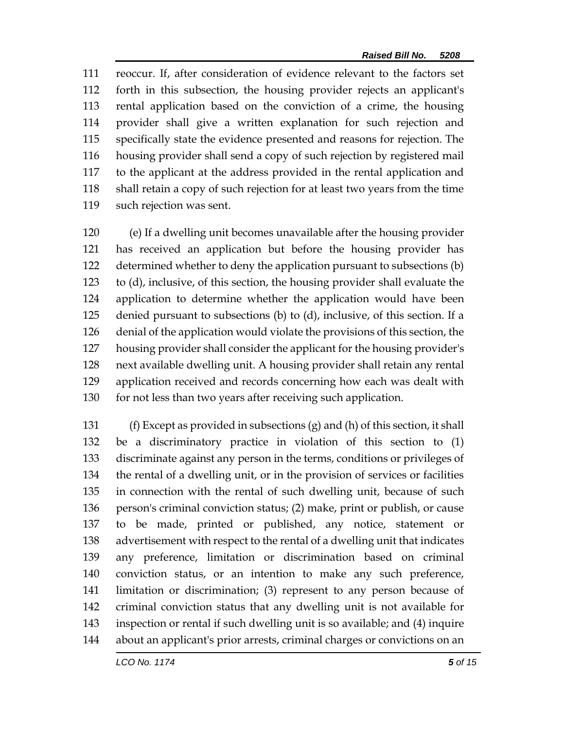reoccur. If, after consideration of evidence relevant to the factors set forth in this subsection, the housing provider rejects an applicant's rental application based on the conviction of a crime, the housing provider shall give a written explanation for such rejection and specifically state the evidence presented and reasons for rejection. The housing provider shall send a copy of such rejection by registered mail to the applicant at the address provided in the rental application and shall retain a copy of such rejection for at least two years from the time such rejection was sent.

 (e) If a dwelling unit becomes unavailable after the housing provider has received an application but before the housing provider has determined whether to deny the application pursuant to subsections (b) to (d), inclusive, of this section, the housing provider shall evaluate the application to determine whether the application would have been denied pursuant to subsections (b) to (d), inclusive, of this section. If a denial of the application would violate the provisions of this section, the housing provider shall consider the applicant for the housing provider's next available dwelling unit. A housing provider shall retain any rental application received and records concerning how each was dealt with 130 for not less than two years after receiving such application.

 (f) Except as provided in subsections (g) and (h) of this section, it shall be a discriminatory practice in violation of this section to (1) discriminate against any person in the terms, conditions or privileges of the rental of a dwelling unit, or in the provision of services or facilities in connection with the rental of such dwelling unit, because of such person's criminal conviction status; (2) make, print or publish, or cause to be made, printed or published, any notice, statement or advertisement with respect to the rental of a dwelling unit that indicates any preference, limitation or discrimination based on criminal conviction status, or an intention to make any such preference, limitation or discrimination; (3) represent to any person because of criminal conviction status that any dwelling unit is not available for inspection or rental if such dwelling unit is so available; and (4) inquire about an applicant's prior arrests, criminal charges or convictions on an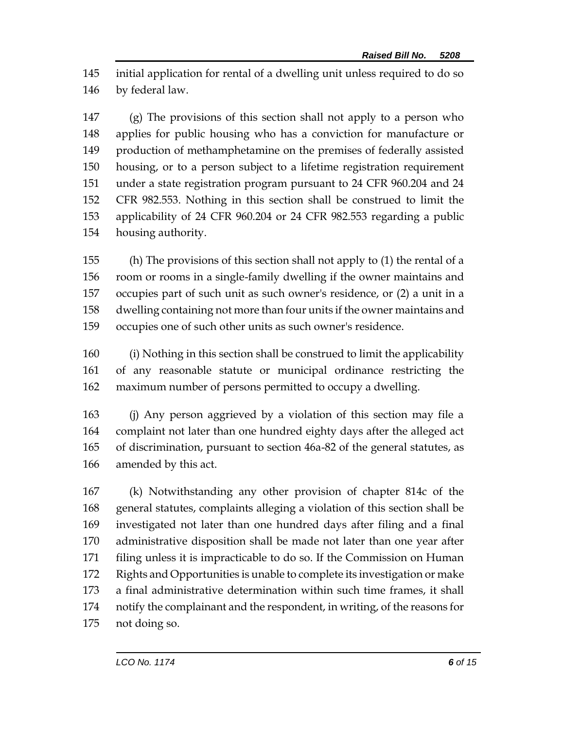initial application for rental of a dwelling unit unless required to do so by federal law.

 (g) The provisions of this section shall not apply to a person who applies for public housing who has a conviction for manufacture or production of methamphetamine on the premises of federally assisted housing, or to a person subject to a lifetime registration requirement under a state registration program pursuant to 24 CFR 960.204 and 24 CFR 982.553. Nothing in this section shall be construed to limit the applicability of 24 CFR 960.204 or 24 CFR 982.553 regarding a public housing authority.

 (h) The provisions of this section shall not apply to (1) the rental of a room or rooms in a single-family dwelling if the owner maintains and occupies part of such unit as such owner's residence, or (2) a unit in a dwelling containing not more than four units if the owner maintains and occupies one of such other units as such owner's residence.

 (i) Nothing in this section shall be construed to limit the applicability of any reasonable statute or municipal ordinance restricting the maximum number of persons permitted to occupy a dwelling.

 (j) Any person aggrieved by a violation of this section may file a complaint not later than one hundred eighty days after the alleged act of discrimination, pursuant to section 46a-82 of the general statutes, as amended by this act.

 (k) Notwithstanding any other provision of chapter 814c of the general statutes, complaints alleging a violation of this section shall be investigated not later than one hundred days after filing and a final administrative disposition shall be made not later than one year after filing unless it is impracticable to do so. If the Commission on Human Rights and Opportunities is unable to complete its investigation or make a final administrative determination within such time frames, it shall notify the complainant and the respondent, in writing, of the reasons for not doing so.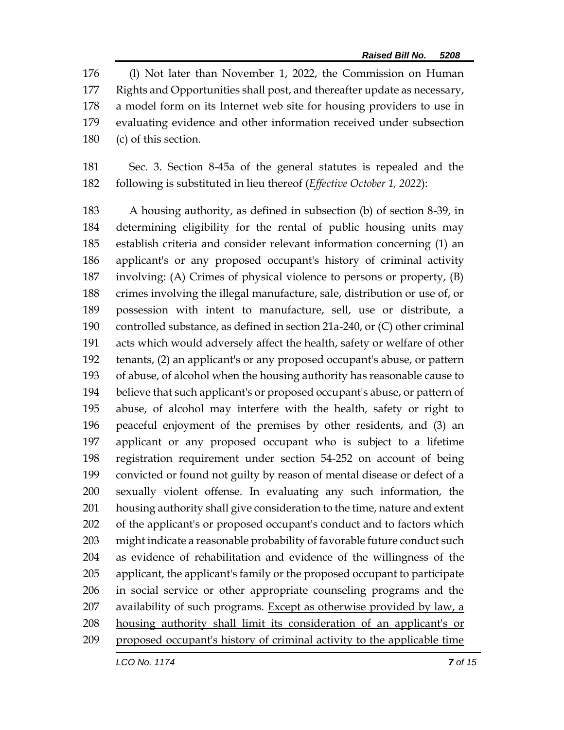(l) Not later than November 1, 2022, the Commission on Human Rights and Opportunities shall post, and thereafter update as necessary, a model form on its Internet web site for housing providers to use in evaluating evidence and other information received under subsection (c) of this section.

 Sec. 3. Section 8-45a of the general statutes is repealed and the following is substituted in lieu thereof (*Effective October 1, 2022*):

 A housing authority, as defined in subsection (b) of section 8-39, in determining eligibility for the rental of public housing units may establish criteria and consider relevant information concerning (1) an applicant's or any proposed occupant's history of criminal activity involving: (A) Crimes of physical violence to persons or property, (B) crimes involving the illegal manufacture, sale, distribution or use of, or possession with intent to manufacture, sell, use or distribute, a controlled substance, as defined in section 21a-240, or (C) other criminal acts which would adversely affect the health, safety or welfare of other tenants, (2) an applicant's or any proposed occupant's abuse, or pattern of abuse, of alcohol when the housing authority has reasonable cause to believe that such applicant's or proposed occupant's abuse, or pattern of abuse, of alcohol may interfere with the health, safety or right to peaceful enjoyment of the premises by other residents, and (3) an applicant or any proposed occupant who is subject to a lifetime registration requirement under section 54-252 on account of being convicted or found not guilty by reason of mental disease or defect of a sexually violent offense. In evaluating any such information, the housing authority shall give consideration to the time, nature and extent of the applicant's or proposed occupant's conduct and to factors which might indicate a reasonable probability of favorable future conduct such as evidence of rehabilitation and evidence of the willingness of the applicant, the applicant's family or the proposed occupant to participate in social service or other appropriate counseling programs and the availability of such programs. Except as otherwise provided by law, a housing authority shall limit its consideration of an applicant's or proposed occupant's history of criminal activity to the applicable time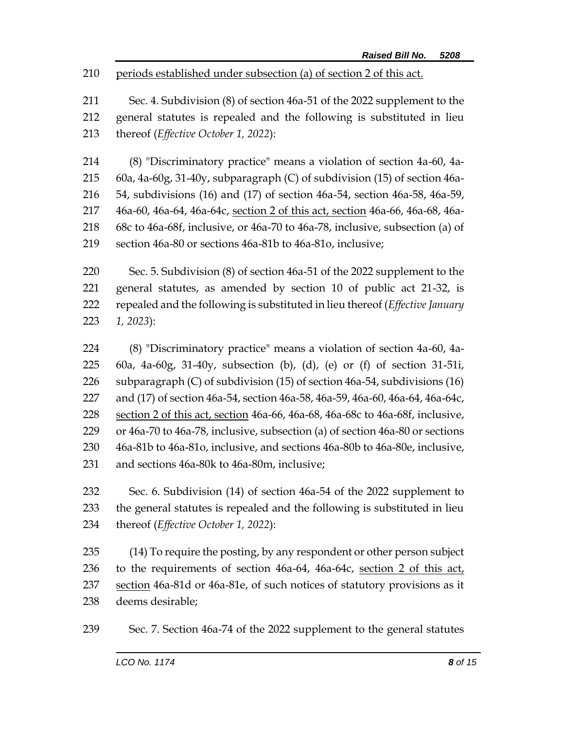periods established under subsection (a) of section 2 of this act.

 Sec. 4. Subdivision (8) of section 46a-51 of the 2022 supplement to the general statutes is repealed and the following is substituted in lieu thereof (*Effective October 1, 2022*):

 (8) "Discriminatory practice" means a violation of section 4a-60, 4a- 60a, 4a-60g, 31-40y, subparagraph (C) of subdivision (15) of section 46a- 54, subdivisions (16) and (17) of section 46a-54, section 46a-58, 46a-59, 46a-60, 46a-64, 46a-64c, section 2 of this act, section 46a-66, 46a-68, 46a- 68c to 46a-68f, inclusive, or 46a-70 to 46a-78, inclusive, subsection (a) of section 46a-80 or sections 46a-81b to 46a-81o, inclusive;

 Sec. 5. Subdivision (8) of section 46a-51 of the 2022 supplement to the general statutes, as amended by section 10 of public act 21-32, is repealed and the following is substituted in lieu thereof (*Effective January 1, 2023*):

 (8) "Discriminatory practice" means a violation of section 4a-60, 4a- 60a, 4a-60g, 31-40y, subsection (b), (d), (e) or (f) of section 31-51i, subparagraph (C) of subdivision (15) of section 46a-54, subdivisions (16) and (17) of section 46a-54, section 46a-58, 46a-59, 46a-60, 46a-64, 46a-64c, section 2 of this act, section 46a-66, 46a-68, 46a-68c to 46a-68f, inclusive, or 46a-70 to 46a-78, inclusive, subsection (a) of section 46a-80 or sections 46a-81b to 46a-81o, inclusive, and sections 46a-80b to 46a-80e, inclusive, and sections 46a-80k to 46a-80m, inclusive;

 Sec. 6. Subdivision (14) of section 46a-54 of the 2022 supplement to the general statutes is repealed and the following is substituted in lieu thereof (*Effective October 1, 2022*):

 (14) To require the posting, by any respondent or other person subject to the requirements of section 46a-64, 46a-64c, section 2 of this act, 237 section 46a-81d or 46a-81e, of such notices of statutory provisions as it deems desirable;

Sec. 7. Section 46a-74 of the 2022 supplement to the general statutes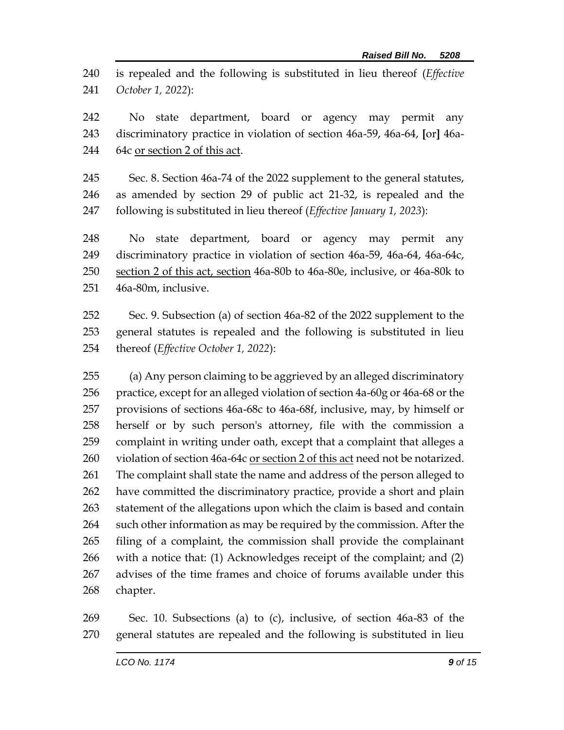is repealed and the following is substituted in lieu thereof (*Effective October 1, 2022*):

 No state department, board or agency may permit any discriminatory practice in violation of section 46a-59, 46a-64, **[**or**]** 46a-244 64c or section 2 of this act.

 Sec. 8. Section 46a-74 of the 2022 supplement to the general statutes, as amended by section 29 of public act 21-32, is repealed and the following is substituted in lieu thereof (*Effective January 1, 2023*):

 No state department, board or agency may permit any discriminatory practice in violation of section 46a-59, 46a-64, 46a-64c, section 2 of this act, section 46a-80b to 46a-80e, inclusive, or 46a-80k to 46a-80m, inclusive.

 Sec. 9. Subsection (a) of section 46a-82 of the 2022 supplement to the general statutes is repealed and the following is substituted in lieu thereof (*Effective October 1, 2022*):

 (a) Any person claiming to be aggrieved by an alleged discriminatory practice, except for an alleged violation of section 4a-60g or 46a-68 or the provisions of sections 46a-68c to 46a-68f, inclusive, may, by himself or herself or by such person's attorney, file with the commission a complaint in writing under oath, except that a complaint that alleges a 260 violation of section 46a-64c or section 2 of this act need not be notarized. The complaint shall state the name and address of the person alleged to have committed the discriminatory practice, provide a short and plain statement of the allegations upon which the claim is based and contain 264 such other information as may be required by the commission. After the filing of a complaint, the commission shall provide the complainant with a notice that: (1) Acknowledges receipt of the complaint; and (2) advises of the time frames and choice of forums available under this chapter.

 Sec. 10. Subsections (a) to (c), inclusive, of section 46a-83 of the general statutes are repealed and the following is substituted in lieu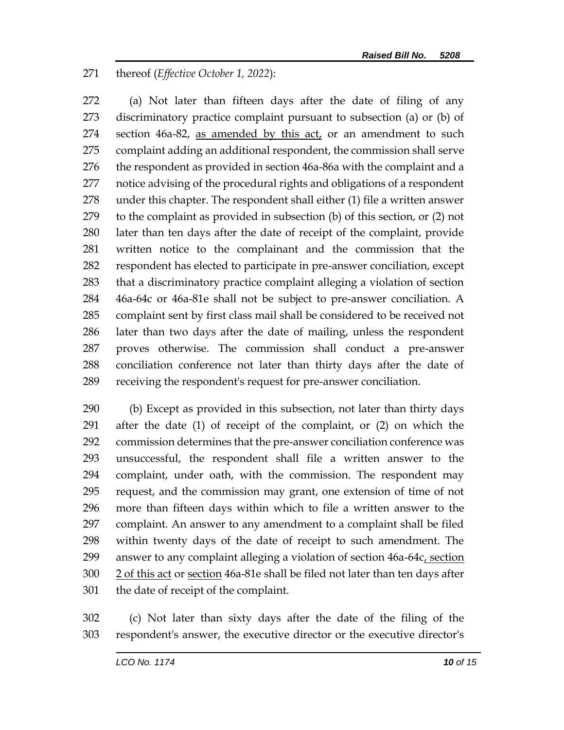thereof (*Effective October 1, 2022*):

 (a) Not later than fifteen days after the date of filing of any discriminatory practice complaint pursuant to subsection (a) or (b) of section 46a-82, as amended by this act, or an amendment to such complaint adding an additional respondent, the commission shall serve 276 the respondent as provided in section 46a-86a with the complaint and a notice advising of the procedural rights and obligations of a respondent under this chapter. The respondent shall either (1) file a written answer to the complaint as provided in subsection (b) of this section, or (2) not later than ten days after the date of receipt of the complaint, provide written notice to the complainant and the commission that the respondent has elected to participate in pre-answer conciliation, except that a discriminatory practice complaint alleging a violation of section 46a-64c or 46a-81e shall not be subject to pre-answer conciliation. A complaint sent by first class mail shall be considered to be received not later than two days after the date of mailing, unless the respondent proves otherwise. The commission shall conduct a pre-answer conciliation conference not later than thirty days after the date of receiving the respondent's request for pre-answer conciliation.

 (b) Except as provided in this subsection, not later than thirty days after the date (1) of receipt of the complaint, or (2) on which the commission determines that the pre-answer conciliation conference was unsuccessful, the respondent shall file a written answer to the complaint, under oath, with the commission. The respondent may request, and the commission may grant, one extension of time of not more than fifteen days within which to file a written answer to the complaint. An answer to any amendment to a complaint shall be filed within twenty days of the date of receipt to such amendment. The 299 answer to any complaint alleging a violation of section 46a-64c, section 2 of this act or section 46a-81e shall be filed not later than ten days after the date of receipt of the complaint.

 (c) Not later than sixty days after the date of the filing of the respondent's answer, the executive director or the executive director's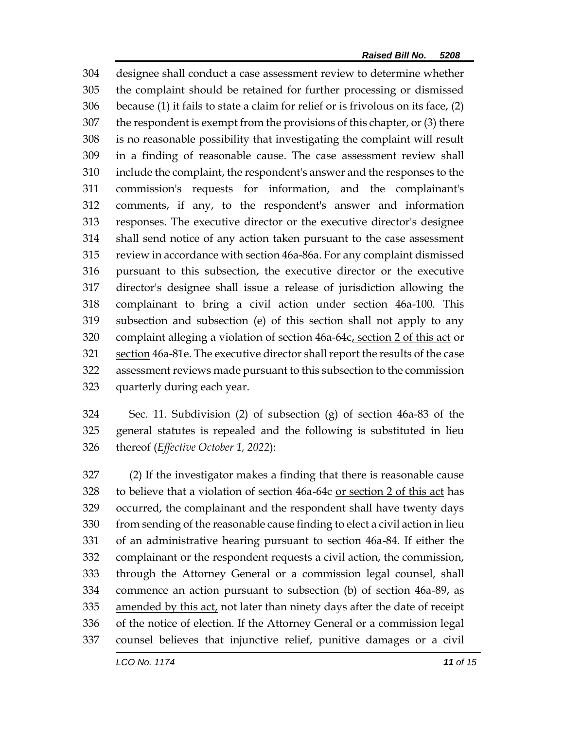designee shall conduct a case assessment review to determine whether the complaint should be retained for further processing or dismissed because (1) it fails to state a claim for relief or is frivolous on its face, (2) the respondent is exempt from the provisions of this chapter, or (3) there is no reasonable possibility that investigating the complaint will result in a finding of reasonable cause. The case assessment review shall include the complaint, the respondent's answer and the responses to the commission's requests for information, and the complainant's comments, if any, to the respondent's answer and information responses. The executive director or the executive director's designee shall send notice of any action taken pursuant to the case assessment review in accordance with section 46a-86a. For any complaint dismissed pursuant to this subsection, the executive director or the executive director's designee shall issue a release of jurisdiction allowing the complainant to bring a civil action under section 46a-100. This subsection and subsection (e) of this section shall not apply to any complaint alleging a violation of section 46a-64c, section 2 of this act or 321 section 46a-81e. The executive director shall report the results of the case assessment reviews made pursuant to this subsection to the commission quarterly during each year.

 Sec. 11. Subdivision (2) of subsection (g) of section 46a-83 of the general statutes is repealed and the following is substituted in lieu thereof (*Effective October 1, 2022*):

 (2) If the investigator makes a finding that there is reasonable cause to believe that a violation of section 46a-64c or section 2 of this act has occurred, the complainant and the respondent shall have twenty days from sending of the reasonable cause finding to elect a civil action in lieu of an administrative hearing pursuant to section 46a-84. If either the complainant or the respondent requests a civil action, the commission, through the Attorney General or a commission legal counsel, shall commence an action pursuant to subsection (b) of section 46a-89, as 335 amended by this act, not later than ninety days after the date of receipt of the notice of election. If the Attorney General or a commission legal counsel believes that injunctive relief, punitive damages or a civil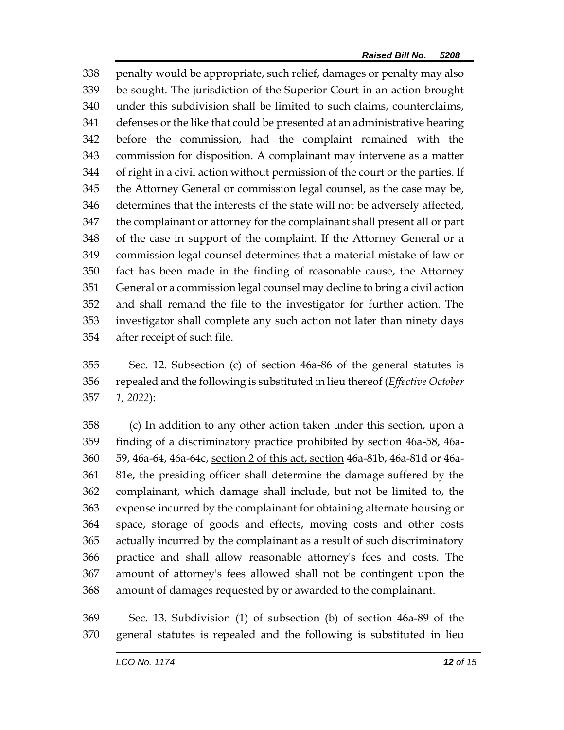penalty would be appropriate, such relief, damages or penalty may also be sought. The jurisdiction of the Superior Court in an action brought under this subdivision shall be limited to such claims, counterclaims, defenses or the like that could be presented at an administrative hearing before the commission, had the complaint remained with the commission for disposition. A complainant may intervene as a matter of right in a civil action without permission of the court or the parties. If the Attorney General or commission legal counsel, as the case may be, determines that the interests of the state will not be adversely affected, the complainant or attorney for the complainant shall present all or part of the case in support of the complaint. If the Attorney General or a commission legal counsel determines that a material mistake of law or fact has been made in the finding of reasonable cause, the Attorney General or a commission legal counsel may decline to bring a civil action and shall remand the file to the investigator for further action. The investigator shall complete any such action not later than ninety days after receipt of such file.

 Sec. 12. Subsection (c) of section 46a-86 of the general statutes is repealed and the following is substituted in lieu thereof (*Effective October 1, 2022*):

 (c) In addition to any other action taken under this section, upon a finding of a discriminatory practice prohibited by section 46a-58, 46a- 59, 46a-64, 46a-64c, section 2 of this act, section 46a-81b, 46a-81d or 46a- 81e, the presiding officer shall determine the damage suffered by the complainant, which damage shall include, but not be limited to, the expense incurred by the complainant for obtaining alternate housing or space, storage of goods and effects, moving costs and other costs actually incurred by the complainant as a result of such discriminatory practice and shall allow reasonable attorney's fees and costs. The amount of attorney's fees allowed shall not be contingent upon the amount of damages requested by or awarded to the complainant.

 Sec. 13. Subdivision (1) of subsection (b) of section 46a-89 of the general statutes is repealed and the following is substituted in lieu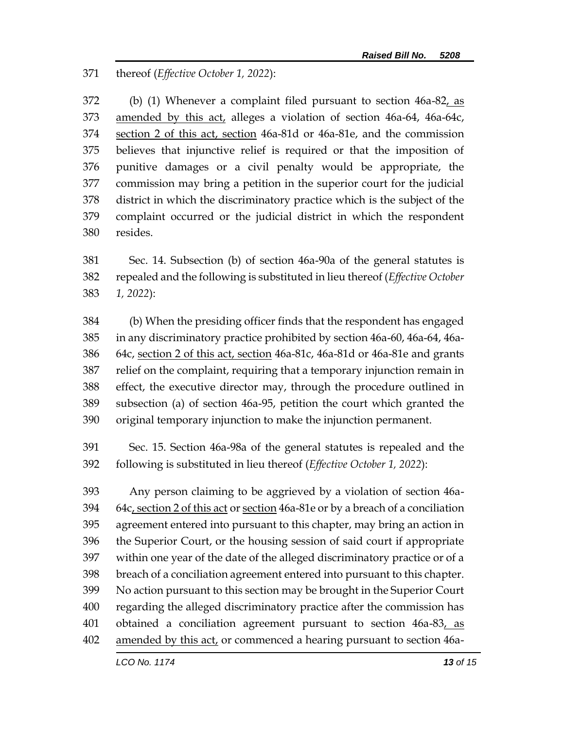thereof (*Effective October 1, 2022*):

372 (b) (1) Whenever a complaint filed pursuant to section 46a-82, as amended by this act, alleges a violation of section 46a-64, 46a-64c, section 2 of this act, section 46a-81d or 46a-81e, and the commission believes that injunctive relief is required or that the imposition of punitive damages or a civil penalty would be appropriate, the commission may bring a petition in the superior court for the judicial district in which the discriminatory practice which is the subject of the complaint occurred or the judicial district in which the respondent resides.

 Sec. 14. Subsection (b) of section 46a-90a of the general statutes is repealed and the following is substituted in lieu thereof (*Effective October 1, 2022*):

 (b) When the presiding officer finds that the respondent has engaged in any discriminatory practice prohibited by section 46a-60, 46a-64, 46a- 64c, section 2 of this act, section 46a-81c, 46a-81d or 46a-81e and grants relief on the complaint, requiring that a temporary injunction remain in effect, the executive director may, through the procedure outlined in subsection (a) of section 46a-95, petition the court which granted the original temporary injunction to make the injunction permanent.

 Sec. 15. Section 46a-98a of the general statutes is repealed and the following is substituted in lieu thereof (*Effective October 1, 2022*):

 Any person claiming to be aggrieved by a violation of section 46a- 64c, section 2 of this act or section 46a-81e or by a breach of a conciliation agreement entered into pursuant to this chapter, may bring an action in the Superior Court, or the housing session of said court if appropriate within one year of the date of the alleged discriminatory practice or of a breach of a conciliation agreement entered into pursuant to this chapter. No action pursuant to this section may be brought in the Superior Court regarding the alleged discriminatory practice after the commission has obtained a conciliation agreement pursuant to section 46a-83, as amended by this act, or commenced a hearing pursuant to section 46a-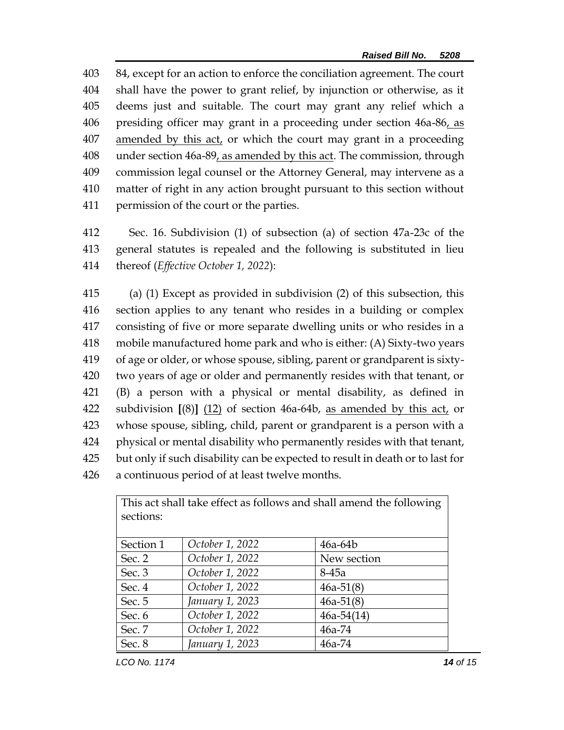84, except for an action to enforce the conciliation agreement. The court shall have the power to grant relief, by injunction or otherwise, as it deems just and suitable. The court may grant any relief which a presiding officer may grant in a proceeding under section 46a-86, as amended by this act, or which the court may grant in a proceeding under section 46a-89, as amended by this act. The commission, through commission legal counsel or the Attorney General, may intervene as a matter of right in any action brought pursuant to this section without permission of the court or the parties.

 Sec. 16. Subdivision (1) of subsection (a) of section 47a-23c of the general statutes is repealed and the following is substituted in lieu thereof (*Effective October 1, 2022*):

 (a) (1) Except as provided in subdivision (2) of this subsection, this section applies to any tenant who resides in a building or complex consisting of five or more separate dwelling units or who resides in a mobile manufactured home park and who is either: (A) Sixty-two years of age or older, or whose spouse, sibling, parent or grandparent is sixty- two years of age or older and permanently resides with that tenant, or (B) a person with a physical or mental disability, as defined in subdivision **[**(8)**]** (12) of section 46a-64b, as amended by this act, or whose spouse, sibling, child, parent or grandparent is a person with a physical or mental disability who permanently resides with that tenant, but only if such disability can be expected to result in death or to last for a continuous period of at least twelve months.

| This act shall take effect as follows and shall amend the following |                 |              |  |
|---------------------------------------------------------------------|-----------------|--------------|--|
| sections:                                                           |                 |              |  |
|                                                                     |                 |              |  |
| Section 1                                                           | October 1, 2022 | $46a-64b$    |  |
| Sec. 2                                                              | October 1, 2022 | New section  |  |
| Sec. 3                                                              | October 1, 2022 | $8-45a$      |  |
| Sec. 4                                                              | October 1, 2022 | $46a-51(8)$  |  |
| Sec. 5                                                              | January 1, 2023 | $46a-51(8)$  |  |
| Sec. 6                                                              | October 1, 2022 | $46a-54(14)$ |  |
| Sec. 7                                                              | October 1, 2022 | $46a - 74$   |  |
| Sec. 8                                                              | January 1, 2023 | $46a - 74$   |  |

*LCO No. 1174**14 of 15*